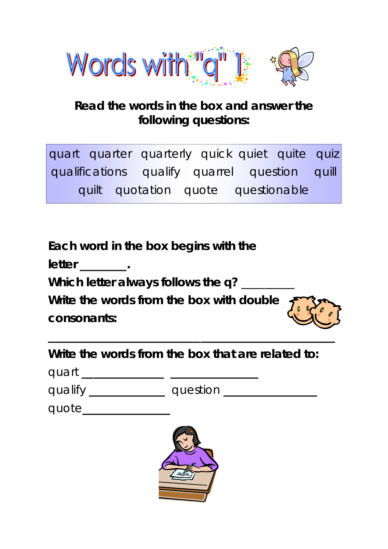

## **Read the words in the box and answer the following questions:**

|  | quart quarter quarterly quick quiet quite quiz |  |  |  |
|--|------------------------------------------------|--|--|--|
|  | qualifications qualify quarrel question quill  |  |  |  |
|  | quilt quotation quote questionable             |  |  |  |

**Each word in the box begins with the** 

**letter \_\_\_\_\_\_\_\_.** 

**Which letter always follows the** *q***?** \_\_\_\_\_\_\_\_\_

**Write the words from the box with double consonants:** 



**Write the words from the box that are related to:** 

quart **\_\_\_\_\_\_\_\_\_\_\_\_\_\_ \_\_\_\_\_\_\_\_\_\_\_\_\_\_\_** 

qualify **\_\_\_\_\_\_\_\_\_\_\_\_\_** question **\_\_\_\_\_\_\_\_\_\_\_\_\_\_\_\_** 

| quote |  |  |  |  |  |  |
|-------|--|--|--|--|--|--|
|       |  |  |  |  |  |  |
|       |  |  |  |  |  |  |

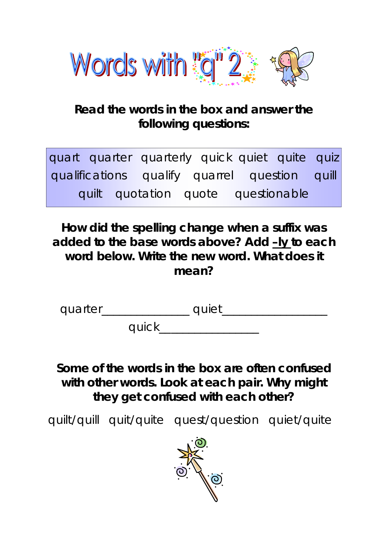

# **Read the words in the box and answer the following questions:**

quart quarter quarterly quick quiet quite quiz qualifications qualify quarrel question quill quilt quotation quote questionable

**How did the spelling change when a suffix was added to the base words above? Add** *–ly* **to each word below. Write the new word. What does it mean?** 

quarter\_\_\_\_\_\_\_\_\_\_\_\_\_\_\_ quiet\_\_\_\_\_\_\_\_\_\_\_\_\_\_\_\_\_\_

quick\_\_\_\_\_\_\_\_\_\_\_\_\_\_\_\_\_

**Some of the words in the box are often confused with other words. Look at each pair. Why might they get confused with each other?** 

quilt/quill quit/quite quest/question quiet/quite

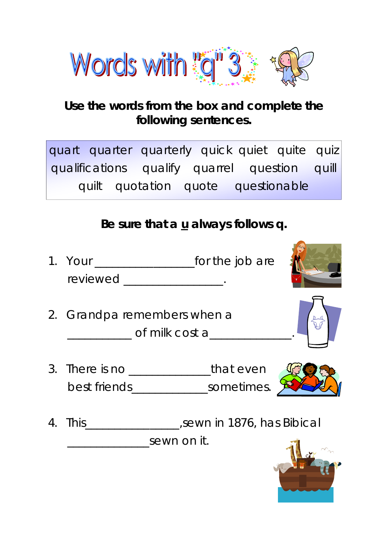

## **Use the words from the box and complete the following sentences.**

|  | quart quarter quarterly quick quiet quite quiz |  |  |  |
|--|------------------------------------------------|--|--|--|
|  | qualifications qualify quarrel question quill  |  |  |  |
|  | quilt quotation quote questionable             |  |  |  |

## **Be sure that a u always follows** *q***.**

- 1. Your \_\_\_\_\_\_\_\_\_\_\_\_\_\_\_\_\_for the job are reviewed \_\_\_\_\_\_\_\_\_\_\_\_\_\_\_\_\_.
- 2. Grandpa remembers when a of milk cost a
- 3. There is no \_\_\_\_\_\_\_\_\_\_\_\_\_\_\_\_\_\_\_that even best friends\_\_\_\_\_\_\_\_\_\_\_\_\_\_\_\_\_\_sometimes.
- 4. This\_\_\_\_\_\_\_\_\_\_\_\_\_\_\_\_,sewn in 1876, has Bibical \_\_\_\_\_\_\_\_\_\_\_\_\_\_sewn on it.

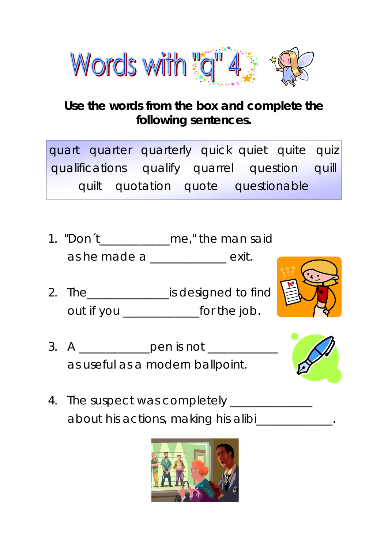

## **Use the words from the box and complete the following sentences.**

quart quarter quarterly quick quiet quite quiz qualifications qualify quarrel question quill quilt quotation quote questionable

- 1. "Don't me," the man said as he made a \_\_\_\_\_\_\_\_\_\_\_\_\_ exit.
- 2. The\_\_\_\_\_\_\_\_\_\_\_\_\_\_is designed to find out if you \_\_\_\_\_\_\_\_\_\_\_\_\_for the job.



3. A \_\_\_\_\_\_\_\_\_\_\_\_\_pen is not \_\_\_\_\_\_\_\_ as useful as a modern ballpoint.



4. The suspect was completely \_\_\_\_\_\_\_\_\_\_\_\_\_ about his actions, making his alibi\_\_\_\_\_\_\_\_\_\_\_\_.